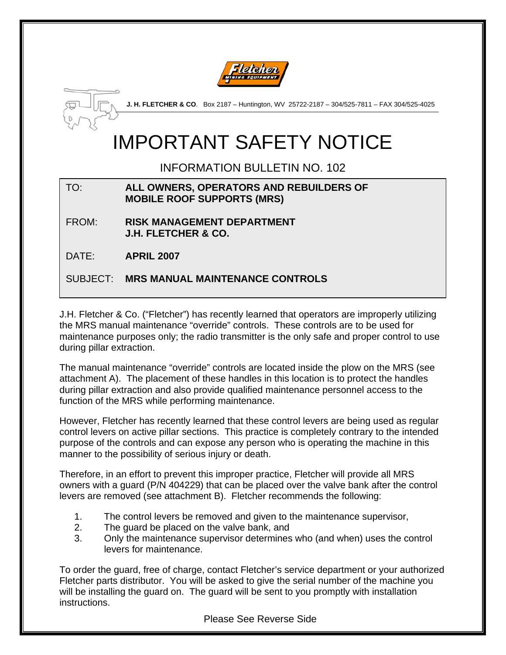



**J. H. FLETCHER & CO**. Box 2187 – Huntington, WV 25722-2187 – 304/525-7811 – FAX 304/525-4025

# IMPORTANT SAFETY NOTICE

INFORMATION BULLETIN NO. 102

#### TO: **ALL OWNERS, OPERATORS AND REBUILDERS OF MOBILE ROOF SUPPORTS (MRS)**

FROM: **RISK MANAGEMENT DEPARTMENT J.H. FLETCHER & CO.** 

DATE: **APRIL 2007** 

SUBJECT: **MRS MANUAL MAINTENANCE CONTROLS** 

J.H. Fletcher & Co. ("Fletcher") has recently learned that operators are improperly utilizing the MRS manual maintenance "override" controls. These controls are to be used for maintenance purposes only; the radio transmitter is the only safe and proper control to use during pillar extraction.

The manual maintenance "override" controls are located inside the plow on the MRS (see attachment A). The placement of these handles in this location is to protect the handles during pillar extraction and also provide qualified maintenance personnel access to the function of the MRS while performing maintenance.

However, Fletcher has recently learned that these control levers are being used as regular control levers on active pillar sections. This practice is completely contrary to the intended purpose of the controls and can expose any person who is operating the machine in this manner to the possibility of serious injury or death.

Therefore, in an effort to prevent this improper practice, Fletcher will provide all MRS owners with a guard (P/N 404229) that can be placed over the valve bank after the control levers are removed (see attachment B). Fletcher recommends the following:

- 1. The control levers be removed and given to the maintenance supervisor,
- 2. The guard be placed on the valve bank, and
- 3. Only the maintenance supervisor determines who (and when) uses the control levers for maintenance.

To order the guard, free of charge, contact Fletcher's service department or your authorized Fletcher parts distributor. You will be asked to give the serial number of the machine you will be installing the guard on. The guard will be sent to you promptly with installation instructions.

Please See Reverse Side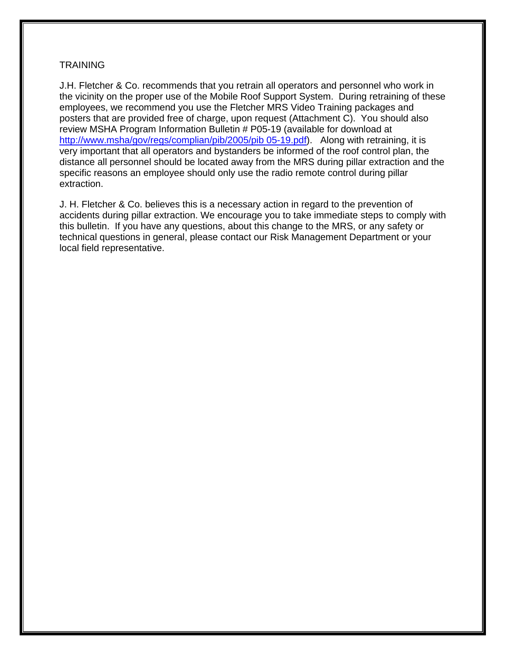#### **TRAINING**

J.H. Fletcher & Co. recommends that you retrain all operators and personnel who work in the vicinity on the proper use of the Mobile Roof Support System. During retraining of these employees, we recommend you use the Fletcher MRS Video Training packages and posters that are provided free of charge, upon request (Attachment C). You should also review MSHA Program Information Bulletin # P05-19 (available for download at [http://www.msha/gov/regs/complian/pib/2005/pib 05-19.pdf](http://www.msha/gov/regs/complian/pib/2005/pib%2005-19.pdf)). Along with retraining, it is very important that all operators and bystanders be informed of the roof control plan, the distance all personnel should be located away from the MRS during pillar extraction and the specific reasons an employee should only use the radio remote control during pillar extraction.

J. H. Fletcher & Co. believes this is a necessary action in regard to the prevention of accidents during pillar extraction. We encourage you to take immediate steps to comply with this bulletin. If you have any questions, about this change to the MRS, or any safety or technical questions in general, please contact our Risk Management Department or your local field representative.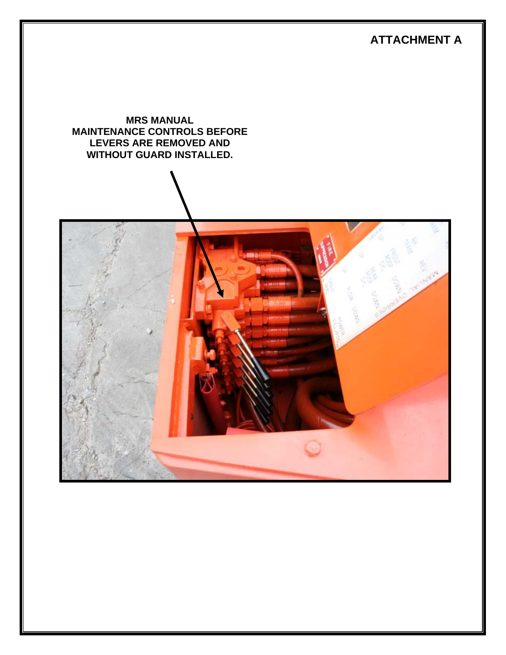# **ATTACHMENT A**

**MRS MANUAL MAINTENANCE CONTROLS BEFORE LEVERS ARE REMOVED AND WITHOUT GUARD INSTALLED.** 

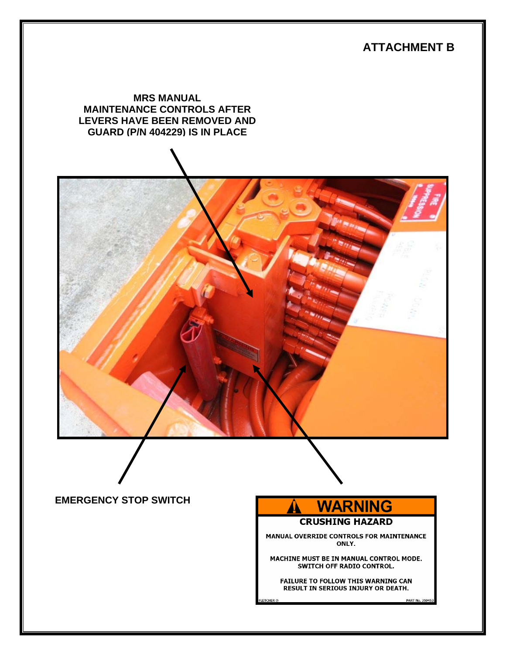## **ATTACHMENT B**

#### **MRS MANUAL MAINTENANCE CONTROLS AFTER LEVERS HAVE BEEN REMOVED AND GUARD (P/N 404229) IS IN PLACE**



### **EMERGENCY STOP SWITCH**



MANUAL OVERRIDE CONTROLS FOR MAINTENANCE ONLY.

MACHINE MUST BE IN MANUAL CONTROL MODE. SWITCH OFF RADIO CONTROL.

FAILURE TO FOLLOW THIS WARNING CAN RESULT IN SERIOUS INJURY OR DEATH.

PART No